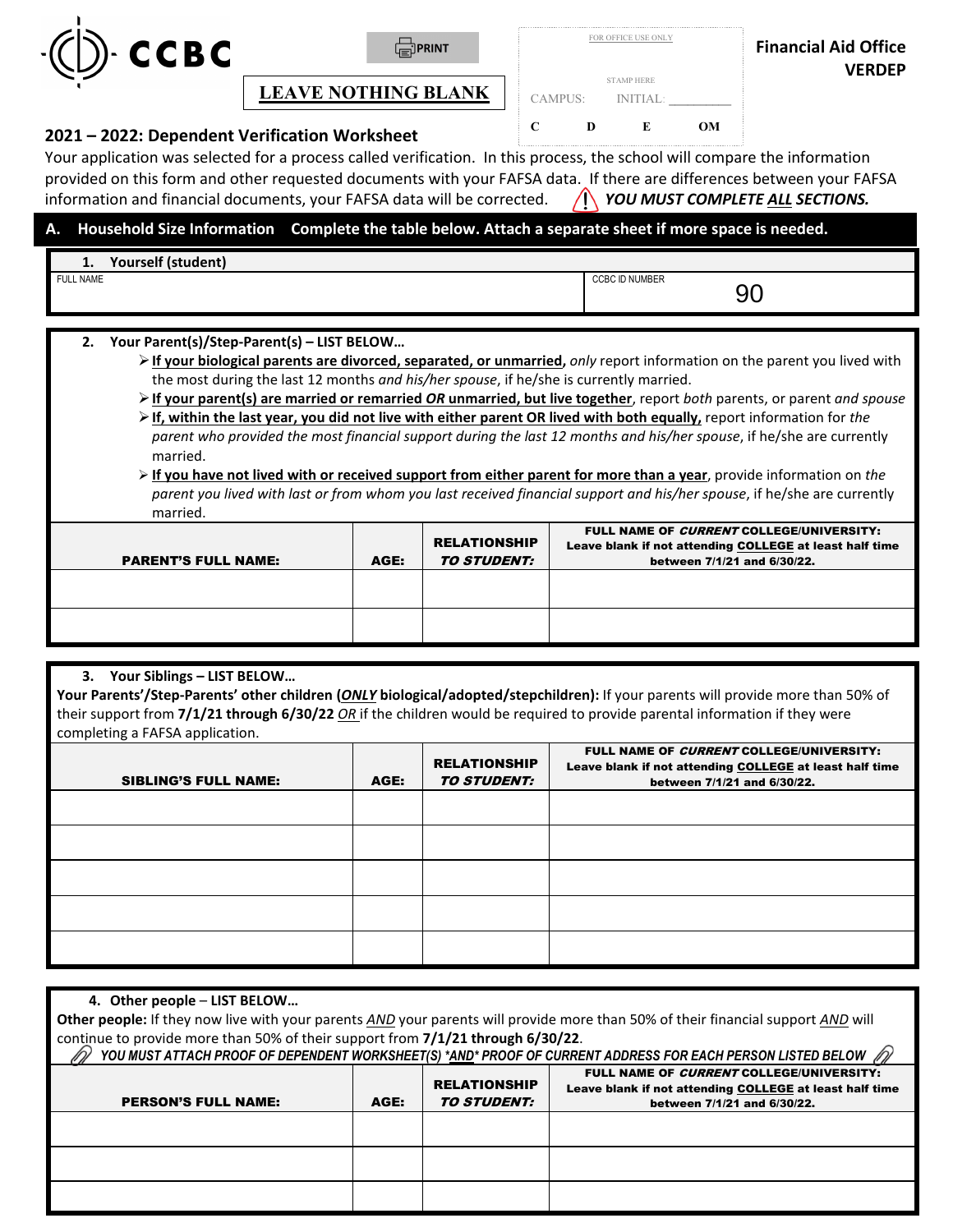

**LEAVE NOTHING BLANK** 

|         | FOR OFFICE USE ONLY |  |
|---------|---------------------|--|
|         |                     |  |
|         | <b>STAMP HERE</b>   |  |
| CAMPUS: | <b>INITIAL:</b>     |  |
|         |                     |  |

## **C D E OM 2021 – 2022: Dependent Verification Worksheet**

 provided on this form and other requested documents with your FAFSA data. If there are differences between your FAFSA information and financial documents, your FAFSA data will be corrected. **/ Andro MUST COMPLETE ALL SECTIONS.** Your application was selected for a process called verification. In this process, the school will compare the information

## **– A. Household Size Information Complete the table below. Attach a separate sheet if more space is needed.**

| Yourself (student)<br>. . |                                        |
|---------------------------|----------------------------------------|
| <b>FULL NAME</b>          | <b>CCBC ID NUMBER</b><br>-<br>ч.<br>◡◡ |

## **2. Your Parent(s)/Step-Parent(s) – LIST BELOW…**

**Example 1** If your biological parents are divorced, separated, or unmarried, only report information on the parent you lived with the most during the last 12 months *and his/her spouse*, if he/she is currently married.

- **If your parent(s) are married or remarried** *OR* **unmarried, but live together**, report *both* parents, or parent *and spouse* **If, within the last year, you did not live with either parent OR lived with both equally,** report information for *the parent who provided the most financial support during the last 12 months and his/her spouse*, if he/she are currently married.
- *parent you lived with last or from whom you last received financial support and his/her spouse*, if he/she are currently **If you have not lived with or received support from either parent for more than a year**, provide information on *the* married.

| <b>PARENT'S FULL NAME:</b> | AGE: | <b>RELATIONSHIP</b><br><i><b>TO STUDENT:</b></i> | FULL NAME OF <i>CURRENT</i> COLLEGE/UNIVERSITY:<br>Leave blank if not attending COLLEGE at least half time<br>between 7/1/21 and 6/30/22. |
|----------------------------|------|--------------------------------------------------|-------------------------------------------------------------------------------------------------------------------------------------------|
|                            |      |                                                  |                                                                                                                                           |
|                            |      |                                                  |                                                                                                                                           |

## **3. Your Siblings – LIST BELOW…**

 **Your Parents'/Step-Parents' other children (***ONLY* **biological/adopted/stepchildren):** If your parents will provide more than 50% of their support from **7/1/21 through 6/30/22** *OR* if the children would be required to provide parental information if they were completing a FAFSA application.

| in the contract of the contract of the contract of the contract of the contract of the contract of the contract of the contract of the contract of the contract of the contract of the contract of the contract of the contrac<br><b>SIBLING'S FULL NAME:</b> | AGE: | <b>RELATIONSHIP</b><br><b>TO STUDENT:</b> | FULL NAME OF CURRENT COLLEGE/UNIVERSITY:<br>Leave blank if not attending COLLEGE at least half time<br>between 7/1/21 and 6/30/22. |
|---------------------------------------------------------------------------------------------------------------------------------------------------------------------------------------------------------------------------------------------------------------|------|-------------------------------------------|------------------------------------------------------------------------------------------------------------------------------------|
|                                                                                                                                                                                                                                                               |      |                                           |                                                                                                                                    |
|                                                                                                                                                                                                                                                               |      |                                           |                                                                                                                                    |
|                                                                                                                                                                                                                                                               |      |                                           |                                                                                                                                    |
|                                                                                                                                                                                                                                                               |      |                                           |                                                                                                                                    |
|                                                                                                                                                                                                                                                               |      |                                           |                                                                                                                                    |

| 4. Other people - LIST BELOW                                                                                                                                                                       |                                                  |                                                                                                                                    |  |  |  |  |
|----------------------------------------------------------------------------------------------------------------------------------------------------------------------------------------------------|--------------------------------------------------|------------------------------------------------------------------------------------------------------------------------------------|--|--|--|--|
| Other people: If they now live with your parents AND your parents will provide more than 50% of their financial support AND will                                                                   |                                                  |                                                                                                                                    |  |  |  |  |
| continue to provide more than 50% of their support from 7/1/21 through 6/30/22.<br>YOU MUST ATTACH PROOF OF DEPENDENT WORKSHEET(S) *AND* PROOF OF CURRENT ADDRESS FOR EACH PERSON LISTED BELOW (D) |                                                  |                                                                                                                                    |  |  |  |  |
| AGE:                                                                                                                                                                                               | <b>RELATIONSHIP</b><br><i><b>TO STUDENT:</b></i> | FULL NAME OF CURRENT COLLEGE/UNIVERSITY:<br>Leave blank if not attending COLLEGE at least half time<br>between 7/1/21 and 6/30/22. |  |  |  |  |
|                                                                                                                                                                                                    |                                                  |                                                                                                                                    |  |  |  |  |
|                                                                                                                                                                                                    |                                                  |                                                                                                                                    |  |  |  |  |
|                                                                                                                                                                                                    |                                                  |                                                                                                                                    |  |  |  |  |